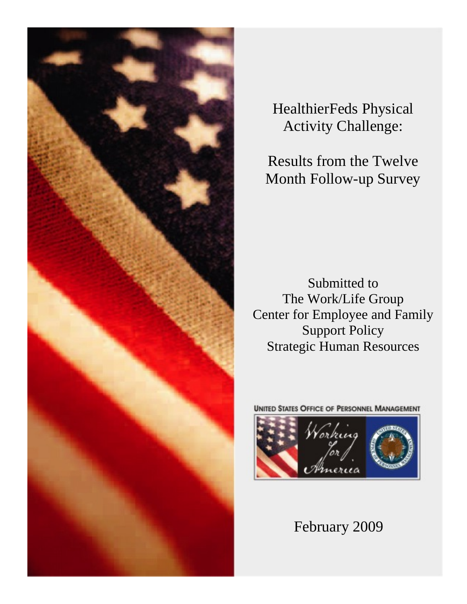

HealthierFeds Physical Activity Challenge:

Results from the Twelve Month Follow-up Survey

Submitted to The Work/Life Group Center for Employee and Family Support Policy Strategic Human Resources

**UNITED STATES OFFICE OF PERSONNEL MANAGEMENT** 



February 2009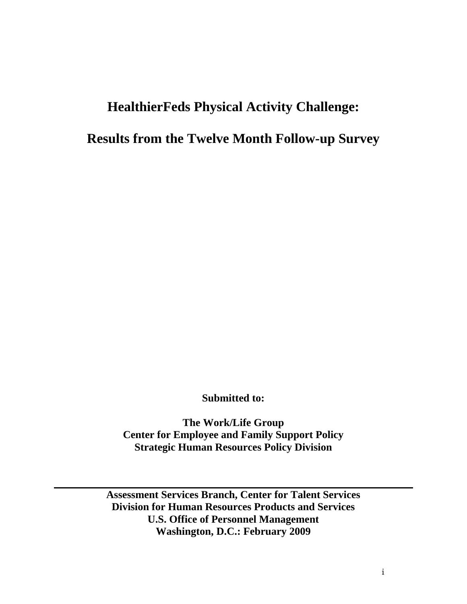# **HealthierFeds Physical Activity Challenge:**

# **Results from the Twelve Month Follow-up Survey**

**Submitted to:** 

**The Work/Life Group Center for Employee and Family Support Policy Strategic Human Resources Policy Division**

**Assessment Services Branch, Center for Talent Services Division for Human Resources Products and Services U.S. Office of Personnel Management Washington, D.C.: February 2009**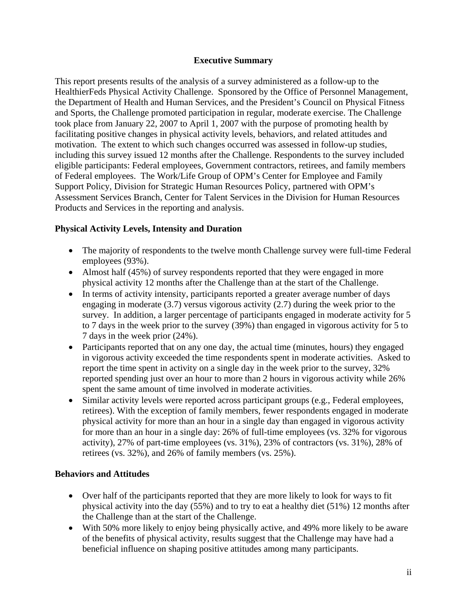### **Executive Summary**

This report presents results of the analysis of a survey administered as a follow-up to the HealthierFeds Physical Activity Challenge. Sponsored by the Office of Personnel Management, the Department of Health and Human Services, and the President's Council on Physical Fitness and Sports, the Challenge promoted participation in regular, moderate exercise. The Challenge took place from January 22, 2007 to April 1, 2007 with the purpose of promoting health by facilitating positive changes in physical activity levels, behaviors, and related attitudes and motivation. The extent to which such changes occurred was assessed in follow-up studies, including this survey issued 12 months after the Challenge. Respondents to the survey included eligible participants: Federal employees, Government contractors, retirees, and family members of Federal employees. The Work/Life Group of OPM's Center for Employee and Family Support Policy, Division for Strategic Human Resources Policy, partnered with OPM's Assessment Services Branch, Center for Talent Services in the Division for Human Resources Products and Services in the reporting and analysis.

### **Physical Activity Levels, Intensity and Duration**

- The majority of respondents to the twelve month Challenge survey were full-time Federal employees (93%).
- Almost half (45%) of survey respondents reported that they were engaged in more physical activity 12 months after the Challenge than at the start of the Challenge.
- In terms of activity intensity, participants reported a greater average number of days engaging in moderate (3.7) versus vigorous activity (2.7) during the week prior to the survey. In addition, a larger percentage of participants engaged in moderate activity for 5 to 7 days in the week prior to the survey (39%) than engaged in vigorous activity for 5 to 7 days in the week prior (24%).
- Participants reported that on any one day, the actual time (minutes, hours) they engaged in vigorous activity exceeded the time respondents spent in moderate activities. Asked to report the time spent in activity on a single day in the week prior to the survey, 32% reported spending just over an hour to more than 2 hours in vigorous activity while 26% spent the same amount of time involved in moderate activities.
- Similar activity levels were reported across participant groups (e.g., Federal employees, retirees). With the exception of family members, fewer respondents engaged in moderate physical activity for more than an hour in a single day than engaged in vigorous activity for more than an hour in a single day: 26% of full-time employees (vs. 32% for vigorous activity), 27% of part-time employees (vs. 31%), 23% of contractors (vs. 31%), 28% of retirees (vs. 32%), and 26% of family members (vs. 25%).

# **Behaviors and Attitudes**

- Over half of the participants reported that they are more likely to look for ways to fit physical activity into the day (55%) and to try to eat a healthy diet (51%) 12 months after the Challenge than at the start of the Challenge.
- With 50% more likely to enjoy being physically active, and 49% more likely to be aware of the benefits of physical activity, results suggest that the Challenge may have had a beneficial influence on shaping positive attitudes among many participants.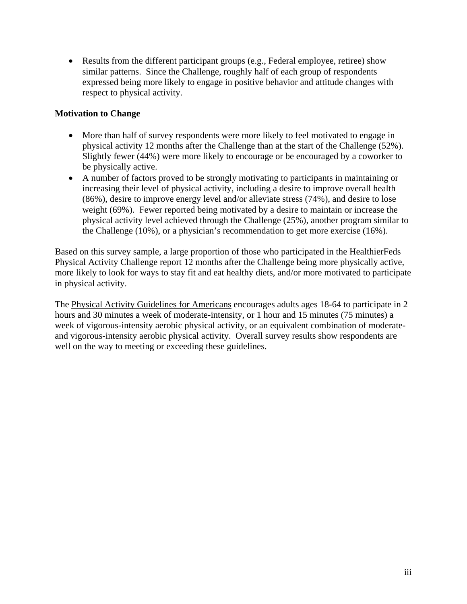• Results from the different participant groups (e.g., Federal employee, retiree) show similar patterns. Since the Challenge, roughly half of each group of respondents expressed being more likely to engage in positive behavior and attitude changes with respect to physical activity.

### **Motivation to Change**

- More than half of survey respondents were more likely to feel motivated to engage in physical activity 12 months after the Challenge than at the start of the Challenge (52%). Slightly fewer (44%) were more likely to encourage or be encouraged by a coworker to be physically active.
- A number of factors proved to be strongly motivating to participants in maintaining or increasing their level of physical activity, including a desire to improve overall health (86%), desire to improve energy level and/or alleviate stress (74%), and desire to lose weight (69%). Fewer reported being motivated by a desire to maintain or increase the physical activity level achieved through the Challenge (25%), another program similar to the Challenge (10%), or a physician's recommendation to get more exercise (16%).

Based on this survey sample, a large proportion of those who participated in the HealthierFeds Physical Activity Challenge report 12 months after the Challenge being more physically active, more likely to look for ways to stay fit and eat healthy diets, and/or more motivated to participate in physical activity.

The [Physical Activity Guidelines for Americans](http://www.health.gov/paguidelines/) encourages adults ages 18-64 to participate in 2 hours and 30 minutes a week of moderate-intensity, or 1 hour and 15 minutes (75 minutes) a week of vigorous-intensity aerobic physical activity, or an equivalent combination of moderateand vigorous-intensity aerobic physical activity. Overall survey results show respondents are well on the way to meeting or exceeding these guidelines.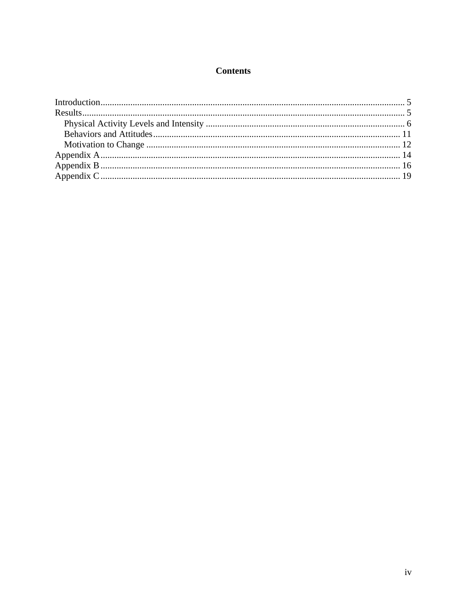# **Contents**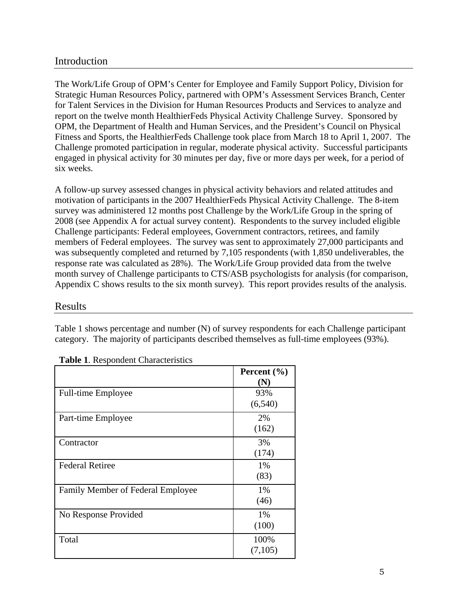# <span id="page-5-0"></span>Introduction

The Work/Life Group of OPM's Center for Employee and Family Support Policy, Division for Strategic Human Resources Policy, partnered with OPM's Assessment Services Branch, Center for Talent Services in the Division for Human Resources Products and Services to analyze and report on the twelve month HealthierFeds Physical Activity Challenge Survey. Sponsored by OPM, the Department of Health and Human Services, and the President's Council on Physical Fitness and Sports, the HealthierFeds Challenge took place from March 18 to April 1, 2007. The Challenge promoted participation in regular, moderate physical activity. Successful participants engaged in physical activity for 30 minutes per day, five or more days per week, for a period of six weeks.

A follow-up survey assessed changes in physical activity behaviors and related attitudes and motivation of participants in the 2007 HealthierFeds Physical Activity Challenge. The 8-item survey was administered 12 months post Challenge by the Work/Life Group in the spring of 2008 (see Appendix A for actual survey content). Respondents to the survey included eligible Challenge participants: Federal employees, Government contractors, retirees, and family members of Federal employees. The survey was sent to approximately 27,000 participants and was subsequently completed and returned by 7,105 respondents (with 1,850 undeliverables, the response rate was calculated as 28%). The Work/Life Group provided data from the twelve month survey of Challenge participants to CTS/ASB psychologists for analysis (for comparison, Appendix C shows results to the six month survey). This report provides results of the analysis.

### Results

Table 1 shows percentage and number (N) of survey respondents for each Challenge participant category. The majority of participants described themselves as full-time employees (93%).

|                                   | Percent $(\% )$<br>$({\bf N})$ |
|-----------------------------------|--------------------------------|
| <b>Full-time Employee</b>         | 93%<br>(6,540)                 |
| Part-time Employee                | 2%<br>(162)                    |
| Contractor                        | 3%<br>(174)                    |
| <b>Federal Retiree</b>            | 1%<br>(83)                     |
| Family Member of Federal Employee | 1%<br>(46)                     |
| No Response Provided              | 1%<br>(100)                    |
| Total                             | 100%<br>(7,105)                |

**Table 1**. Respondent Characteristics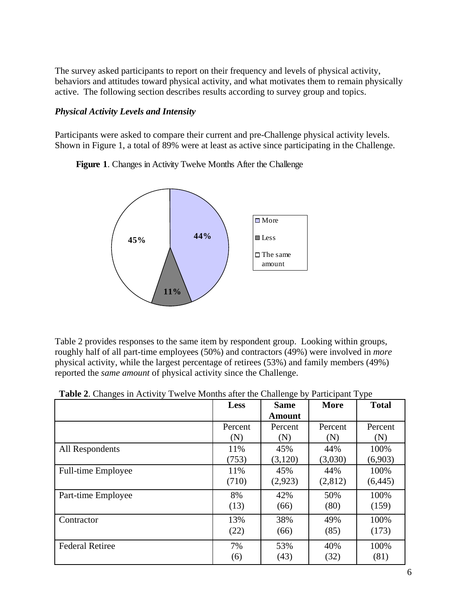<span id="page-6-0"></span>The survey asked participants to report on their frequency and levels of physical activity, behaviors and attitudes toward physical activity, and what motivates them to remain physically active. The following section describes results according to survey group and topics.

### *Physical Activity Levels and Intensity*

Participants were asked to compare their current and pre-Challenge physical activity levels. Shown in Figure 1, a total of 89% were at least as active since participating in the Challenge.

**Figure 1**. Changes in Activity Twelve Months After the Challenge



Table 2 provides responses to the same item by respondent group. Looking within groups, roughly half of all part-time employees (50%) and contractors (49%) were involved in *more* physical activity, while the largest percentage of retirees (53%) and family members (49%) reported the *same amount* of physical activity since the Challenge.

|                           | Less    | <b>Same</b><br><b>Amount</b> | <b>More</b> | <b>Total</b> |
|---------------------------|---------|------------------------------|-------------|--------------|
|                           | Percent | Percent                      | Percent     | Percent      |
|                           | (N)     | (N)                          | (N)         | (N)          |
| All Respondents           | 11%     | 45%                          | 44%         | 100%         |
|                           | (753)   | (3,120)                      | (3,030)     | (6,903)      |
| <b>Full-time Employee</b> | 11%     | 45%                          | 44%         | 100%         |
|                           | (710)   | (2,923)                      | (2,812)     | (6, 445)     |
| Part-time Employee        | 8%      | 42%                          | 50%         | 100%         |
|                           | (13)    | (66)                         | (80)        | (159)        |
| Contractor                | 13%     | 38%                          | 49%         | 100%         |
|                           | (22)    | (66)                         | (85)        | (173)        |
| <b>Federal Retiree</b>    | 7%      | 53%                          | 40%         | 100%         |
|                           | (6)     | (43)                         | (32)        | (81)         |

|  | Table 2. Changes in Activity Twelve Months after the Challenge by Participant Type |  |
|--|------------------------------------------------------------------------------------|--|
|  |                                                                                    |  |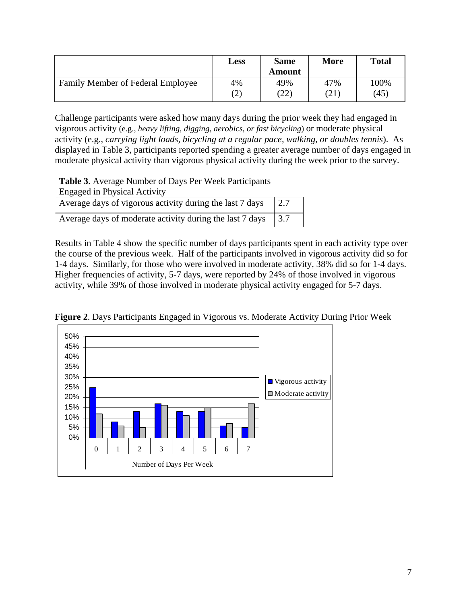|                                   | <b>Less</b> | <b>Same</b><br>Amount | <b>More</b> | <b>Total</b> |
|-----------------------------------|-------------|-----------------------|-------------|--------------|
| Family Member of Federal Employee | 4%          | 49%                   | 47%         | 100%         |
|                                   | (2)         | (22)                  | (21)        | (45)         |

Challenge participants were asked how many days during the prior week they had engaged in vigorous activity (e.g., *heavy lifting, digging, aerobics, or fast bicycling*) or moderate physical activity (e.g., *carrying light loads, bicycling at a regular pace, walking, or doubles tennis*). As displayed in Table 3, participants reported spending a greater average number of days engaged in moderate physical activity than vigorous physical activity during the week prior to the survey.

**Table 3**. Average Number of Days Per Week Participants

| <b>Engaged in Physical Activity</b>                      |              |
|----------------------------------------------------------|--------------|
| Average days of vigorous activity during the last 7 days | $\sqrt{2.7}$ |
| Average days of moderate activity during the last 7 days | 13.7         |

Results in Table 4 show the specific number of days participants spent in each activity type over the course of the previous week. Half of the participants involved in vigorous activity did so for 1-4 days. Similarly, for those who were involved in moderate activity, 38% did so for 1-4 days. Higher frequencies of activity, 5-7 days, were reported by 24% of those involved in vigorous activity, while 39% of those involved in moderate physical activity engaged for 5-7 days.



**Figure 2**. Days Participants Engaged in Vigorous vs. Moderate Activity During Prior Week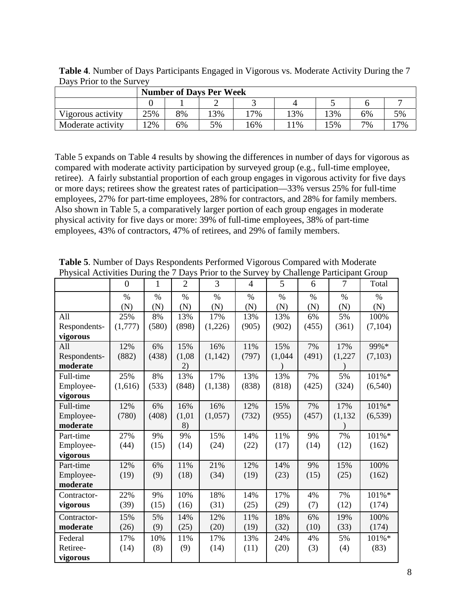| <b>Number of Days Per Week</b> |     |    |     |       |    |    |    |    |  |  |  |
|--------------------------------|-----|----|-----|-------|----|----|----|----|--|--|--|
|                                |     |    |     |       |    |    |    |    |  |  |  |
| Vigorous activity              | 25% | 8% | .3% | $7\%$ | 3% | 3% | 6% | 5% |  |  |  |
| Moderate activity              | 2%  | 6% | 5%  | 16%   | 1% | 5% | 7% | 7% |  |  |  |

**Table 4**. Number of Days Participants Engaged in Vigorous vs. Moderate Activity During the 7 Days Prior to the Survey

Table 5 expands on Table 4 results by showing the differences in number of days for vigorous as compared with moderate activity participation by surveyed group (e.g., full-time employee, retiree). A fairly substantial proportion of each group engages in vigorous activity for five days or more days; retirees show the greatest rates of participation—33% versus 25% for full-time employees, 27% for part-time employees, 28% for contractors, and 28% for family members. Also shown in Table 5, a comparatively larger portion of each group engages in moderate physical activity for five days or more: 39% of full-time employees, 38% of part-time employees, 43% of contractors, 47% of retirees, and 29% of family members.

|              |          |              |                |          |                | I hysical Activities During the 7 Days I Hof to the Survey by Chancilge I articipant Group |       |          |           |  |
|--------------|----------|--------------|----------------|----------|----------------|--------------------------------------------------------------------------------------------|-------|----------|-----------|--|
|              | $\theta$ | $\mathbf{1}$ | $\overline{2}$ | 3        | $\overline{4}$ | 5                                                                                          | 6     | 7        | Total     |  |
|              | $\%$     | $\%$         | $\%$           | $\%$     | $\%$           | $\%$                                                                                       | $\%$  | $\%$     | $\%$      |  |
|              | (N)      | (N)          | (N)            | (N)      | (N)            | (N)                                                                                        | (N)   | (N)      | (N)       |  |
| All          | 25%      | 8%           | 13%            | 17%      | 13%            | 13%                                                                                        | 6%    | 5%       | 100%      |  |
| Respondents- | (1,777)  | (580)        | (898)          | (1,226)  | (905)          | (902)                                                                                      | (455) | (361)    | (7,104)   |  |
| vigorous     |          |              |                |          |                |                                                                                            |       |          |           |  |
| All          | 12%      | 6%           | 15%            | 16%      | 11%            | 15%                                                                                        | 7%    | 17%      | 99%*      |  |
| Respondents- | (882)    | (438)        | (1,08)         | (1, 142) | (797)          | (1,044)                                                                                    | (491) | (1,227)  | (7,103)   |  |
| moderate     |          |              | 2)             |          |                |                                                                                            |       |          |           |  |
| Full-time    | 25%      | 8%           | 13%            | 17%      | 13%            | 13%                                                                                        | 7%    | 5%       | 101%*     |  |
| Employee-    | (1,616)  | (533)        | (848)          | (1, 138) | (838)          | (818)                                                                                      | (425) | (324)    | (6,540)   |  |
| vigorous     |          |              |                |          |                |                                                                                            |       |          |           |  |
| Full-time    | 12%      | 6%           | 16%            | 16%      | 12%            | 15%                                                                                        | 7%    | 17%      | 101%*     |  |
| Employee-    | (780)    | (408)        | (1,01)         | (1,057)  | (732)          | (955)                                                                                      | (457) | (1, 132) | (6, 539)  |  |
| moderate     |          |              | 8)             |          |                |                                                                                            |       |          |           |  |
| Part-time    | 27%      | 9%           | 9%             | 15%      | 14%            | 11%                                                                                        | 9%    | 7%       | $101\% *$ |  |
| Employee-    | (44)     | (15)         | (14)           | (24)     | (22)           | (17)                                                                                       | (14)  | (12)     | (162)     |  |
| vigorous     |          |              |                |          |                |                                                                                            |       |          |           |  |
| Part-time    | 12%      | 6%           | 11%            | 21%      | 12%            | 14%                                                                                        | 9%    | 15%      | 100%      |  |
| Employee-    | (19)     | (9)          | (18)           | (34)     | (19)           | (23)                                                                                       | (15)  | (25)     | (162)     |  |
| moderate     |          |              |                |          |                |                                                                                            |       |          |           |  |
| Contractor-  | 22%      | 9%           | 10%            | 18%      | 14%            | 17%                                                                                        | 4%    | 7%       | 101%*     |  |
| vigorous     | (39)     | (15)         | (16)           | (31)     | (25)           | (29)                                                                                       | (7)   | (12)     | (174)     |  |
| Contractor-  | 15%      | 5%           | 14%            | 12%      | 11%            | 18%                                                                                        | 6%    | 19%      | 100%      |  |
| moderate     | (26)     | (9)          | (25)           | (20)     | (19)           | (32)                                                                                       | (10)  | (33)     | (174)     |  |
| Federal      | 17%      | 10%          | 11%            | 17%      | 13%            | 24%                                                                                        | 4%    | 5%       | 101%*     |  |
| Retiree-     | (14)     | (8)          | (9)            | (14)     | (11)           | (20)                                                                                       | (3)   | (4)      | (83)      |  |
| vigorous     |          |              |                |          |                |                                                                                            |       |          |           |  |

**Table 5**. Number of Days Respondents Performed Vigorous Compared with Moderate Physical Activities During the 7 Days Prior to the Survey by Challenge Participant Group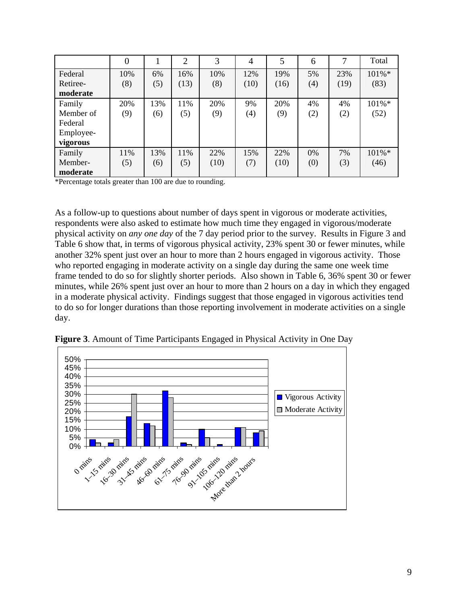|           |     |     | $\overline{2}$ | 3    | $\overline{4}$ | 5    | 6   | 7    | Total |
|-----------|-----|-----|----------------|------|----------------|------|-----|------|-------|
| Federal   | 10% | 6%  | 16%            | 10%  | 12%            | 19%  | 5%  | 23%  | 101%* |
| Retiree-  | (8) | (5) | (13)           | (8)  | (10)           | (16) | (4) | (19) | (83)  |
| moderate  |     |     |                |      |                |      |     |      |       |
| Family    | 20% | 13% | 11%            | 20%  | 9%             | 20%  | 4%  | 4%   | 101%* |
| Member of | (9) | (6) | (5)            | (9)  | (4)            | (9)  | (2) | (2)  | (52)  |
| Federal   |     |     |                |      |                |      |     |      |       |
| Employee- |     |     |                |      |                |      |     |      |       |
| vigorous  |     |     |                |      |                |      |     |      |       |
| Family    | 11% | 13% | 11%            | 22%  | 15%            | 22%  | 0%  | 7%   | 101%* |
| Member-   | (5) | (6) | (5)            | (10) | (7)            | (10) | (0) | (3)  | (46)  |
| moderate  |     |     |                |      |                |      |     |      |       |

\*Percentage totals greater than 100 are due to rounding.

As a follow-up to questions about number of days spent in vigorous or moderate activities, respondents were also asked to estimate how much time they engaged in vigorous/moderate physical activity on *any one day* of the 7 day period prior to the survey. Results in Figure 3 and Table 6 show that, in terms of vigorous physical activity, 23% spent 30 or fewer minutes, while another 32% spent just over an hour to more than 2 hours engaged in vigorous activity. Those who reported engaging in moderate activity on a single day during the same one week time frame tended to do so for slightly shorter periods. Also shown in Table 6, 36% spent 30 or fewer minutes, while 26% spent just over an hour to more than 2 hours on a day in which they engaged in a moderate physical activity. Findings suggest that those engaged in vigorous activities tend to do so for longer durations than those reporting involvement in moderate activities on a single day.



**Figure 3**. Amount of Time Participants Engaged in Physical Activity in One Day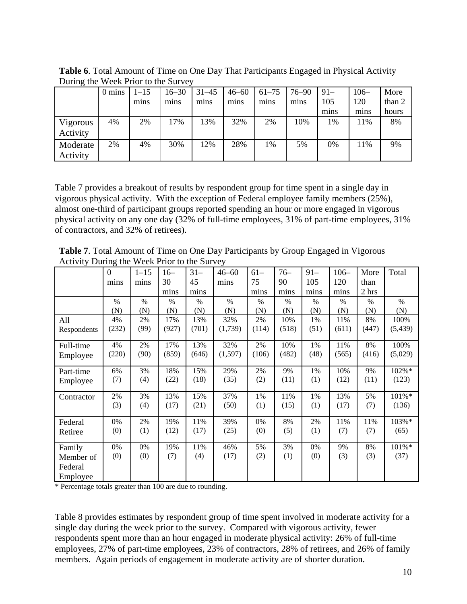| $D$ and $D$ and $D$ and $D$ and $D$ and $D$ |                  |          |           |           |           |           |           |       |        |        |
|---------------------------------------------|------------------|----------|-----------|-----------|-----------|-----------|-----------|-------|--------|--------|
|                                             | $0 \text{ mins}$ | $1 - 15$ | $16 - 30$ | $31 - 45$ | $46 - 60$ | $61 - 75$ | $76 - 90$ | $91-$ | $106-$ | More   |
|                                             |                  | mins     | mins      | mins      | mins      | mins      | mins      | 105   | 120    | than 2 |
|                                             |                  |          |           |           |           |           |           | mins  | mins   | hours  |
| Vigorous                                    | 4%               | 2%       | 17%       | 13%       | 32%       | 2%        | 10%       | 1%    | 11%    | 8%     |
| Activity                                    |                  |          |           |           |           |           |           |       |        |        |
| Moderate                                    | 2%               | 4%       | 30%       | 12%       | 28%       | 1%        | 5%        | 0%    | 11%    | 9%     |
| Activity                                    |                  |          |           |           |           |           |           |       |        |        |

**Table 6**. Total Amount of Time on One Day That Participants Engaged in Physical Activity During the Week Prior to the Survey

Table 7 provides a breakout of results by respondent group for time spent in a single day in vigorous physical activity. With the exception of Federal employee family members (25%), almost one-third of participant groups reported spending an hour or more engaged in vigorous physical activity on any one day (32% of full-time employees, 31% of part-time employees, 31% of contractors, and 32% of retirees).

**Table 7**. Total Amount of Time on One Day Participants by Group Engaged in Vigorous Activity During the Week Prior to the Survey

|             | $\overline{0}$ | $1 - 15$ | $16-$ | $31 -$ | $46 - 60$ | $61 -$ | $76-$ | $91 -$ | $106 -$       | More  | Total    |
|-------------|----------------|----------|-------|--------|-----------|--------|-------|--------|---------------|-------|----------|
|             | mins           | mins     | 30    | 45     | mins      | 75     | 90    | 105    | 120           | than  |          |
|             |                |          | mins  | mins   |           | mins   | mins  | mins   | mins          | 2 hrs |          |
|             | $\frac{0}{0}$  | $\%$     | $\%$  | $\%$   | $\%$      | $\%$   | $\%$  | $\%$   | $\frac{0}{0}$ | $\%$  | $\%$     |
|             | (N)            | (N)      | (N)   | (N)    | (N)       | (N)    | (N)   | (N)    | (N)           | (N)   | (N)      |
| All         | 4%             | 2%       | 17%   | 13%    | 32%       | 2%     | 10%   | 1%     | 11%           | 8%    | 100%     |
| Respondents | (232)          | (99)     | (927) | (701)  | (1,739)   | (114)  | (518) | (51)   | (611)         | (447) | (5, 439) |
|             |                |          |       |        |           |        |       |        |               |       |          |
| Full-time   | 4%             | 2%       | 17%   | 13%    | 32%       | 2%     | 10%   | 1%     | 11%           | 8%    | 100%     |
| Employee    | (220)          | (90)     | (859) | (646)  | (1,597)   | (106)  | (482) | (48)   | (565)         | (416) | (5,029)  |
| Part-time   | 6%             | 3%       | 18%   | 15%    | 29%       | 2%     | 9%    | 1%     | 10%           | 9%    | 102%*    |
| Employee    | (7)            | (4)      | (22)  | (18)   | (35)      | (2)    | (11)  | (1)    | (12)          | (11)  | (123)    |
| Contractor  | 2%             | 3%       | 13%   | 15%    | 37%       | 1%     | 11%   | 1%     | 13%           | 5%    | 101%*    |
|             | (3)            | (4)      | (17)  | (21)   | (50)      | (1)    | (15)  | (1)    | (17)          | (7)   | (136)    |
| Federal     | 0%             | 2%       | 19%   | 11%    | 39%       | 0%     | 8%    | 2%     | 11%           | 11%   | 103%*    |
| Retiree     | (0)            | (1)      | (12)  | (17)   | (25)      | (0)    | (5)   | (1)    | (7)           | (7)   | (65)     |
| Family      | 0%             | 0%       | 19%   | 11%    | 46%       | 5%     | 3%    | 0%     | 9%            | 8%    | $101\%*$ |
| Member of   | (0)            | (0)      | (7)   | (4)    | (17)      | (2)    | (1)   | (0)    | (3)           | (3)   | (37)     |
| Federal     |                |          |       |        |           |        |       |        |               |       |          |
| Employee    |                |          |       |        |           |        |       |        |               |       |          |

\* Percentage totals greater than 100 are due to rounding.

Table 8 provides estimates by respondent group of time spent involved in moderate activity for a single day during the week prior to the survey. Compared with vigorous activity, fewer respondents spent more than an hour engaged in moderate physical activity: 26% of full-time employees, 27% of part-time employees, 23% of contractors, 28% of retirees, and 26% of family members. Again periods of engagement in moderate activity are of shorter duration.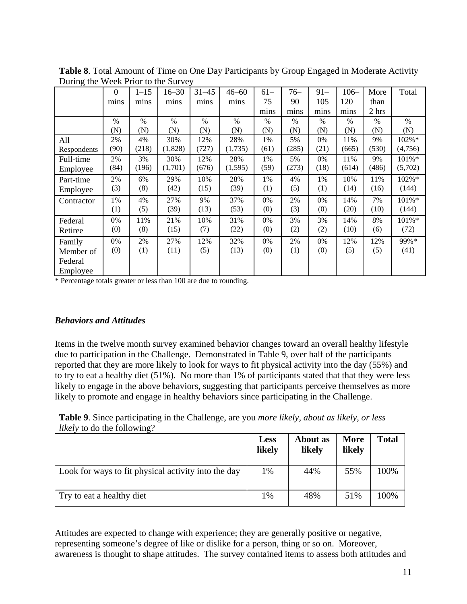|             | $\Omega$ | $1 - 15$ | $16 - 30$ | $31 - 45$ | $46 - 60$     | $61 -$ | $76-$ | $91 -$ | $106 -$ | More  | Total   |
|-------------|----------|----------|-----------|-----------|---------------|--------|-------|--------|---------|-------|---------|
|             | mins     | mins     | mins      | mins      | mins          | 75     | 90    | 105    | 120     | than  |         |
|             |          |          |           |           |               | mins   | mins  | mins   | mins    | 2 hrs |         |
|             | $\%$     | $\%$     | $\%$      | $\%$      | $\frac{0}{0}$ | $\%$   | $\%$  | $\%$   | $\%$    | $\%$  | $\%$    |
|             | (N)      | (N)      | (N)       | (N)       | (N)           | (N)    | (N)   | (N)    | (N)     | (N)   | (N)     |
| All         | 2%       | 4%       | 30%       | 12%       | 28%           | 1%     | 5%    | 0%     | 11%     | 9%    | 102%*   |
| Respondents | (90)     | (218)    | (1,828)   | (727)     | (1,735)       | (61)   | (285) | (21)   | (665)   | (530) | (4,756) |
| Full-time   | 2%       | 3%       | 30%       | 12%       | 28%           | 1%     | 5%    | 0%     | 11%     | 9%    | 101%*   |
| Employee    | (84)     | (196)    | (1,701)   | (676)     | (1, 595)      | (59)   | (273) | (18)   | (614)   | (486) | (5,702) |
| Part-time   | 2%       | 6%       | 29%       | 10%       | 28%           | 1%     | 4%    | 1%     | 10%     | 11%   | 102%*   |
| Employee    | (3)      | (8)      | (42)      | (15)      | (39)          | (1)    | (5)   | (1)    | (14)    | (16)  | (144)   |
| Contractor  | 1%       | 4%       | 27%       | 9%        | 37%           | 0%     | 2%    | 0%     | 14%     | 7%    | 101%*   |
|             | (1)      | (5)      | (39)      | (13)      | (53)          | (0)    | (3)   | (0)    | (20)    | (10)  | (144)   |
| Federal     | 0%       | 11%      | 21%       | 10%       | 31%           | 0%     | 3%    | 3%     | 14%     | 8%    | 101%*   |
| Retiree     | (0)      | (8)      | (15)      | (7)       | (22)          | (0)    | (2)   | (2)    | (10)    | (6)   | (72)    |
| Family      | 0%       | 2%       | 27%       | 12%       | 32%           | 0%     | 2%    | 0%     | 12%     | 12%   | 99%*    |
| Member of   | (0)      | (1)      | (11)      | (5)       | (13)          | (0)    | (1)   | (0)    | (5)     | (5)   | (41)    |
| Federal     |          |          |           |           |               |        |       |        |         |       |         |
| Employee    |          |          |           |           |               |        |       |        |         |       |         |

<span id="page-11-0"></span>**Table 8**. Total Amount of Time on One Day Participants by Group Engaged in Moderate Activity During the Week Prior to the Survey

\* Percentage totals greater or less than 100 are due to rounding.

#### *Behaviors and Attitudes*

Items in the twelve month survey examined behavior changes toward an overall healthy lifestyle due to participation in the Challenge. Demonstrated in Table 9, over half of the participants reported that they are more likely to look for ways to fit physical activity into the day (55%) and to try to eat a healthy diet (51%). No more than 1% of participants stated that that they were less likely to engage in the above behaviors, suggesting that participants perceive themselves as more likely to promote and engage in healthy behaviors since participating in the Challenge.

**Table 9**. Since participating in the Challenge, are you *more likely, about as likely, or less likely* to do the following?

|                                                     | <b>Less</b><br>likely | About as<br>likely | <b>More</b><br>likely | <b>Total</b> |
|-----------------------------------------------------|-----------------------|--------------------|-----------------------|--------------|
| Look for ways to fit physical activity into the day | 1%                    | 44%                | 55%                   | 100%         |
| Try to eat a healthy diet                           | 1%                    | 48%                | 51%                   | 100%         |

Attitudes are expected to change with experience; they are generally positive or negative, representing someone's degree of like or dislike for a person, thing or so on. Moreover, awareness is thought to shape attitudes. The survey contained items to assess both attitudes and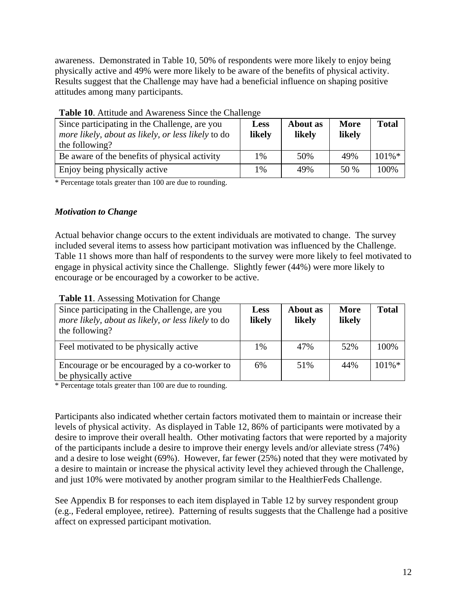<span id="page-12-0"></span>awareness. Demonstrated in Table 10, 50% of respondents were more likely to enjoy being physically active and 49% were more likely to be aware of the benefits of physical activity. Results suggest that the Challenge may have had a beneficial influence on shaping positive attitudes among many participants.

| Since participating in the Challenge, are you<br>more likely, about as likely, or less likely to do<br>the following? | Less<br>likely | About as<br>likely | <b>More</b><br>likely | <b>Total</b> |
|-----------------------------------------------------------------------------------------------------------------------|----------------|--------------------|-----------------------|--------------|
| Be aware of the benefits of physical activity                                                                         | 1%             | 50%                | 49%                   | $101\%$ *    |
| Enjoy being physically active                                                                                         | 1%             | 49%                | 50 %                  | 100%         |

### **Table 10**. Attitude and Awareness Since the Challenge

\* Percentage totals greater than 100 are due to rounding.

### *Motivation to Change*

Actual behavior change occurs to the extent individuals are motivated to change. The survey included several items to assess how participant motivation was influenced by the Challenge. Table 11 shows more than half of respondents to the survey were more likely to feel motivated to engage in physical activity since the Challenge. Slightly fewer (44%) were more likely to encourage or be encouraged by a coworker to be active.

| Twore II. Hooppoing Hour anon for Change<br>Since participating in the Challenge, are you<br>more likely, about as likely, or less likely to do<br>the following? | <b>Less</b><br>likely | About as<br>likely | <b>More</b><br>likely | <b>Total</b> |
|-------------------------------------------------------------------------------------------------------------------------------------------------------------------|-----------------------|--------------------|-----------------------|--------------|
| Feel motivated to be physically active                                                                                                                            | 1%                    | 47%                | 52%                   | 100%         |
| Encourage or be encouraged by a co-worker to<br>be physically active                                                                                              | 6%                    | 51%                | 44%                   | $101\% *$    |

### **Table 11**. Assessing Motivation for Change

\* Percentage totals greater than 100 are due to rounding.

Participants also indicated whether certain factors motivated them to maintain or increase their levels of physical activity. As displayed in Table 12, 86% of participants were motivated by a desire to improve their overall health. Other motivating factors that were reported by a majority of the participants include a desire to improve their energy levels and/or alleviate stress (74%) and a desire to lose weight (69%). However, far fewer (25%) noted that they were motivated by a desire to maintain or increase the physical activity level they achieved through the Challenge, and just 10% were motivated by another program similar to the HealthierFeds Challenge.

See Appendix B for responses to each item displayed in Table 12 by survey respondent group (e.g., Federal employee, retiree). Patterning of results suggests that the Challenge had a positive affect on expressed participant motivation.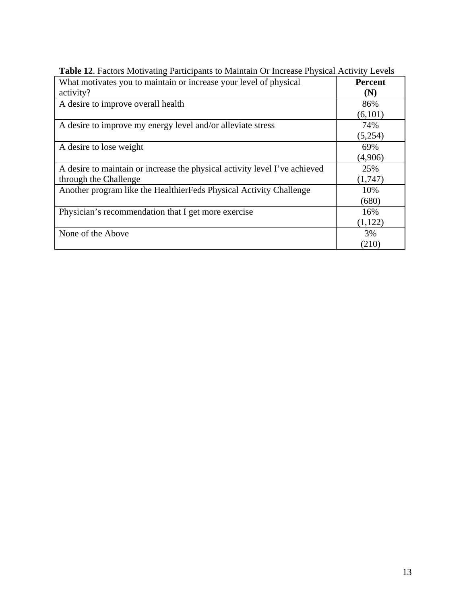| What motivates you to maintain or increase your level of physical<br>activity? | <b>Percent</b><br>(N) |
|--------------------------------------------------------------------------------|-----------------------|
|                                                                                |                       |
| A desire to improve overall health                                             | 86%                   |
|                                                                                | (6,101)               |
| A desire to improve my energy level and/or alleviate stress                    | 74%                   |
|                                                                                | (5,254)               |
| A desire to lose weight                                                        | 69%                   |
|                                                                                | (4,906)               |
| A desire to maintain or increase the physical activity level I've achieved     | 25%                   |
| through the Challenge                                                          | (1,747)               |
| Another program like the HealthierFeds Physical Activity Challenge             | 10%                   |
|                                                                                | (680)                 |
| Physician's recommendation that I get more exercise                            | 16%                   |
|                                                                                | (1,122)               |
| None of the Above                                                              | 3%                    |
|                                                                                | (210)                 |

**Table 12**. Factors Motivating Participants to Maintain Or Increase Physical Activity Levels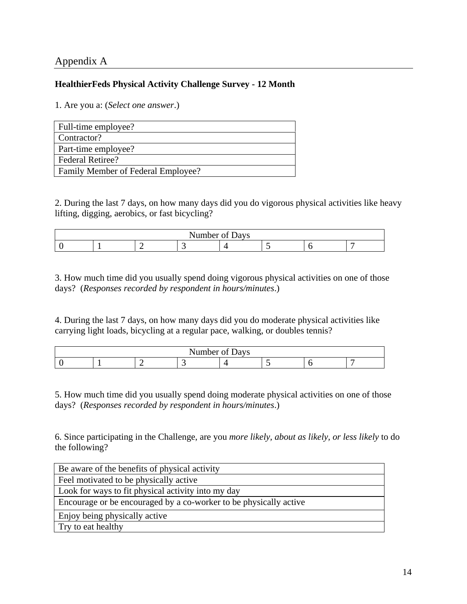# <span id="page-14-0"></span>Appendix A

### **HealthierFeds Physical Activity Challenge Survey - 12 Month**

1. Are you a: (*Select one answer*.)

| Full-time employee?                |
|------------------------------------|
| Contractor?                        |
| Part-time employee?                |
| <b>Federal Retiree?</b>            |
| Family Member of Federal Employee? |

2. During the last 7 days, on how many days did you do vigorous physical activities like heavy lifting, digging, aerobics, or fast bicycling?

| Number<br>of Days |  |  |  |  |  |  |  |
|-------------------|--|--|--|--|--|--|--|
|                   |  |  |  |  |  |  |  |

3. How much time did you usually spend doing vigorous physical activities on one of those days? (*Responses recorded by respondent in hours/minutes*.)

4. During the last 7 days, on how many days did you do moderate physical activities like carrying light loads, bicycling at a regular pace, walking, or doubles tennis?

| $\sim$ $\sim$<br>Number of Days |  |  |  |  |  |  |  |
|---------------------------------|--|--|--|--|--|--|--|
|                                 |  |  |  |  |  |  |  |

5. How much time did you usually spend doing moderate physical activities on one of those days? (*Responses recorded by respondent in hours/minutes*.)

6. Since participating in the Challenge, are you *more likely, about as likely, or less likely* to do the following?

| Be aware of the benefits of physical activity                     |
|-------------------------------------------------------------------|
| Feel motivated to be physically active                            |
| Look for ways to fit physical activity into my day                |
| Encourage or be encouraged by a co-worker to be physically active |
| Enjoy being physically active                                     |
| Try to eat healthy                                                |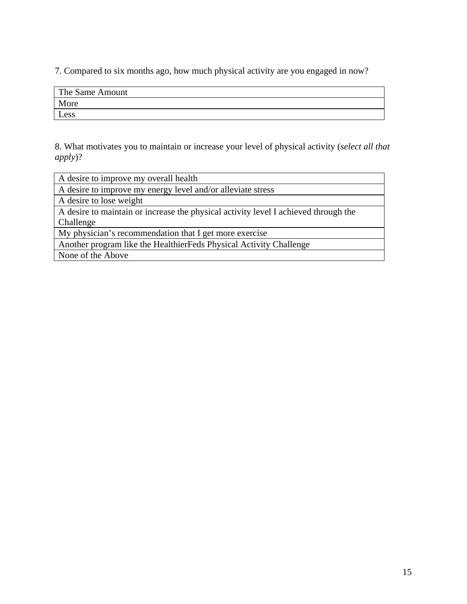7. Compared to six months ago, how much physical activity are you engaged in now?

| The Same Amount |  |
|-----------------|--|
| More            |  |
| Less            |  |

8. What motivates you to maintain or increase your level of physical activity (*select all that apply*)?

| A desire to improve my overall health                                               |
|-------------------------------------------------------------------------------------|
| A desire to improve my energy level and/or alleviate stress                         |
| A desire to lose weight                                                             |
| A desire to maintain or increase the physical activity level I achieved through the |
| Challenge                                                                           |
| My physician's recommendation that I get more exercise                              |
| Another program like the HealthierFeds Physical Activity Challenge                  |
| None of the Above                                                                   |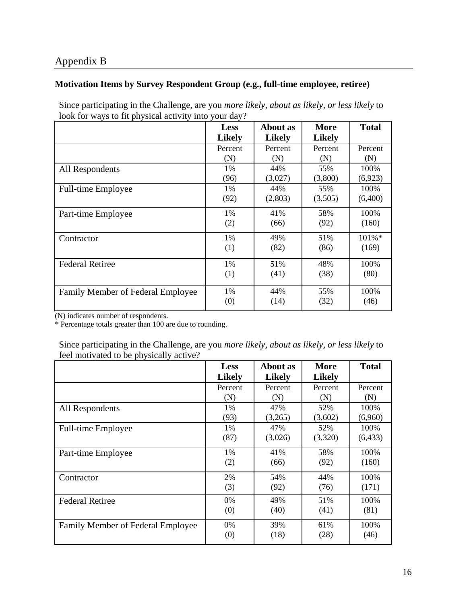# <span id="page-16-0"></span>Appendix B

### **Motivation Items by Survey Respondent Group (e.g., full-time employee, retiree)**

Since participating in the Challenge, are you *more likely, about as likely, or less likely* to look for ways to fit physical activity into your day?

|                                   | <b>Less</b>   | About as      | More          | <b>Total</b> |
|-----------------------------------|---------------|---------------|---------------|--------------|
|                                   | <b>Likely</b> | <b>Likely</b> | <b>Likely</b> |              |
|                                   | Percent       | Percent       | Percent       | Percent      |
|                                   | (N)           | (N)           | (N)           | (N)          |
| All Respondents                   | $1\%$         | 44%           | 55%           | 100\%        |
|                                   | (96)          | (3,027)       | (3,800)       | (6,923)      |
| Full-time Employee                | 1%            | 44%           | 55%           | 100%         |
|                                   | (92)          | (2,803)       | (3,505)       | (6,400)      |
| Part-time Employee                | 1%            | 41%           | 58%           | 100%         |
|                                   | (2)           | (66)          | (92)          | (160)        |
| Contractor                        | 1%            | 49%           | 51%           | $101\%*$     |
|                                   | (1)           | (82)          | (86)          | (169)        |
| <b>Federal Retiree</b>            | 1%            | 51%           | 48%           | 100%         |
|                                   | (1)           | (41)          | (38)          | (80)         |
| Family Member of Federal Employee | 1%            | 44%           | 55%           | 100%         |
|                                   | (0)           | (14)          | (32)          | (46)         |

(N) indicates number of respondents.

\* Percentage totals greater than 100 are due to rounding.

Since participating in the Challenge, are you *more likely, about as likely, or less likely* to feel motivated to be physically active?

|                                   | <b>Less</b>   | About as      | <b>More</b>   | <b>Total</b> |
|-----------------------------------|---------------|---------------|---------------|--------------|
|                                   | <b>Likely</b> | <b>Likely</b> | <b>Likely</b> |              |
|                                   | Percent       | Percent       | Percent       | Percent      |
|                                   | (N)           | (N)           | (N)           | (N)          |
| All Respondents                   | 1%            | 47%           | 52%           | 100%         |
|                                   | (93)          | (3,265)       | (3,602)       | (6,960)      |
| Full-time Employee                | 1%            | 47%           | 52%           | 100%         |
|                                   | (87)          | (3,026)       | (3,320)       | (6, 433)     |
| Part-time Employee                | 1%            | 41%           | 58%           | 100%         |
|                                   | (2)           | (66)          | (92)          | (160)        |
| Contractor                        | 2%            | 54%           | 44%           | 100%         |
|                                   | (3)           | (92)          | (76)          | (171)        |
| <b>Federal Retiree</b>            | 0%            | 49%           | 51%           | 100%         |
|                                   | (0)           | (40)          | (41)          | (81)         |
| Family Member of Federal Employee | $0\%$         | 39%           | 61%           | 100%         |
|                                   | (0)           | (18)          | (28)          | (46)         |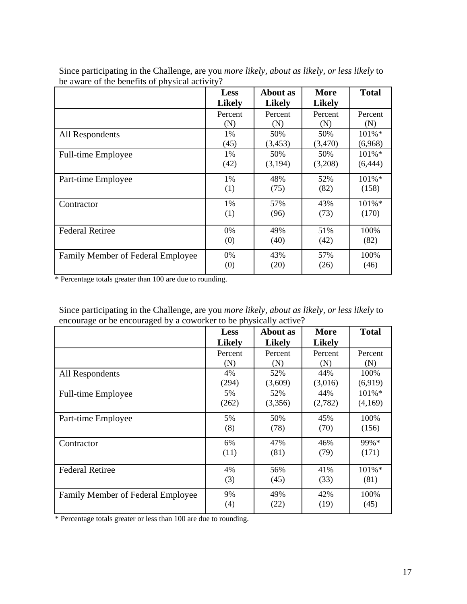|                                   | <b>Less</b>   | About as      | More          | <b>Total</b> |
|-----------------------------------|---------------|---------------|---------------|--------------|
|                                   | <b>Likely</b> | <b>Likely</b> | <b>Likely</b> |              |
|                                   | Percent       | Percent       | Percent       | Percent      |
|                                   | (N)           | (N)           | (N)           | (N)          |
| All Respondents                   | 1%            | 50%           | 50%           | $101\%*$     |
|                                   | (45)          | (3, 453)      | (3,470)       | (6,968)      |
| <b>Full-time Employee</b>         | 1%            | 50%           | 50%           | $101\%*$     |
|                                   | (42)          | (3,194)       | (3,208)       | (6, 444)     |
| Part-time Employee                | 1%            | 48%           | 52%           | $101\%*$     |
|                                   | (1)           | (75)          | (82)          | (158)        |
| Contractor                        | $1\%$         | 57%           | 43%           | $101\%*$     |
|                                   | (1)           | (96)          | (73)          | (170)        |
| <b>Federal Retiree</b>            | 0%            | 49%           | 51%           | 100%         |
|                                   | (0)           | (40)          | (42)          | (82)         |
| Family Member of Federal Employee | 0%            | 43%           | 57%           | 100%         |
|                                   | (0)           | (20)          | (26)          | (46)         |

Since participating in the Challenge, are you *more likely, about as likely, or less likely* to be aware of the benefits of physical activity?

\* Percentage totals greater than 100 are due to rounding.

| Since participating in the Challenge, are you <i>more likely, about as likely, or less likely</i> to |
|------------------------------------------------------------------------------------------------------|
| encourage or be encouraged by a coworker to be physically active?                                    |

|                                   | <b>Less</b>   | About as      | More          | <b>Total</b> |
|-----------------------------------|---------------|---------------|---------------|--------------|
|                                   | <b>Likely</b> | <b>Likely</b> | <b>Likely</b> |              |
|                                   | Percent       | Percent       | Percent       | Percent      |
|                                   | (N)           | (N)           | (N)           | (N)          |
| All Respondents                   | 4%            | 52%           | 44%           | 100%         |
|                                   | (294)         | (3,609)       | (3,016)       | (6,919)      |
| <b>Full-time Employee</b>         | 5%            | 52%           | 44%           | 101%*        |
|                                   | (262)         | (3,356)       | (2,782)       | (4,169)      |
| Part-time Employee                | 5%            | 50%           | 45%           | 100%         |
|                                   | (8)           | (78)          | (70)          | (156)        |
| Contractor                        | 6%            | 47%           | 46%           | 99%*         |
|                                   | (11)          | (81)          | (79)          | (171)        |
| <b>Federal Retiree</b>            | 4%            | 56%           | 41%           | $101\%*$     |
|                                   | (3)           | (45)          | (33)          | (81)         |
| Family Member of Federal Employee | 9%            | 49%           | 42%           | 100%         |
|                                   | (4)           | (22)          | (19)          | (45)         |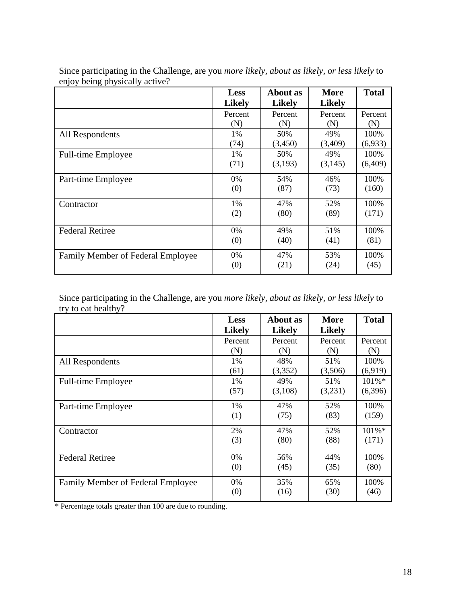|                                   | <b>Less</b>   | About as      | More          | <b>Total</b> |
|-----------------------------------|---------------|---------------|---------------|--------------|
|                                   | <b>Likely</b> | <b>Likely</b> | <b>Likely</b> |              |
|                                   | Percent       | Percent       | Percent       | Percent      |
|                                   | (N)           | (N)           | (N)           | (N)          |
| All Respondents                   | 1%            | 50%           | 49%           | 100%         |
|                                   | (74)          | (3,450)       | (3,409)       | (6,933)      |
| <b>Full-time Employee</b>         | 1%            | 50%           | 49%           | 100%         |
|                                   | (71)          | (3,193)       | (3,145)       | (6,409)      |
| Part-time Employee                | $0\%$         | 54%           | 46%           | 100%         |
|                                   | (0)           | (87)          | (73)          | (160)        |
| Contractor                        | 1%            | 47%           | 52%           | 100\%        |
|                                   | (2)           | (80)          | (89)          | (171)        |
| <b>Federal Retiree</b>            | 0%            | 49%           | 51%           | 100%         |
|                                   | (0)           | (40)          | (41)          | (81)         |
| Family Member of Federal Employee | 0%            | 47%           | 53%           | 100%         |
|                                   | (0)           | (21)          | (24)          | (45)         |

Since participating in the Challenge, are you *more likely, about as likely, or less likely* to enjoy being physically active?

Since participating in the Challenge, are you *more likely, about as likely, or less likely* to try to eat healthy?

|                                   | <b>Less</b>   | <b>About as</b> | <b>More</b>   | <b>Total</b> |
|-----------------------------------|---------------|-----------------|---------------|--------------|
|                                   | <b>Likely</b> | <b>Likely</b>   | <b>Likely</b> |              |
|                                   | Percent       | Percent         | Percent       | Percent      |
|                                   | (N)           | (N)             | (N)           | (N)          |
| All Respondents                   | 1%            | 48%             | 51%           | 100%         |
|                                   | (61)          | (3,352)         | (3,506)       | (6,919)      |
| <b>Full-time Employee</b>         | 1%            | 49%             | 51%           | $101\%*$     |
|                                   | (57)          | (3,108)         | (3,231)       | (6,396)      |
| Part-time Employee                | 1%            | 47%             | 52%           | 100%         |
|                                   | (1)           | (75)            | (83)          | (159)        |
| Contractor                        | 2%            | 47%             | 52%           | 101%*        |
|                                   | (3)           | (80)            | (88)          | (171)        |
| <b>Federal Retiree</b>            | 0%            | 56%             | 44%           | 100%         |
|                                   | (0)           | (45)            | (35)          | (80)         |
| Family Member of Federal Employee | 0%            | 35%             | 65%           | 100%         |
|                                   | (0)           | (16)            | (30)          | (46)         |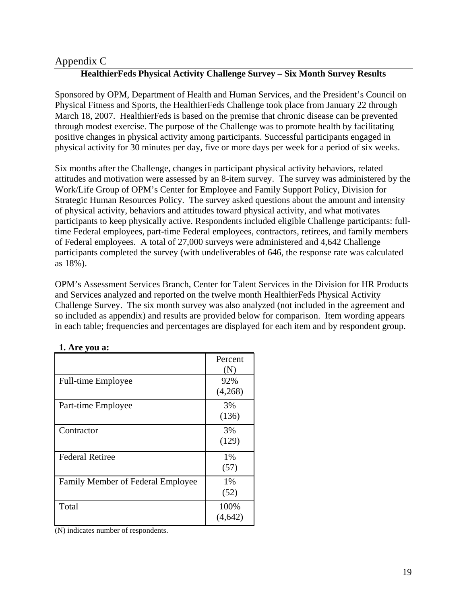# <span id="page-19-0"></span>Appendix C

# **HealthierFeds Physical Activity Challenge Survey – Six Month Survey Results**

Sponsored by OPM, Department of Health and Human Services, and the President's Council on Physical Fitness and Sports, the HealthierFeds Challenge took place from January 22 through March 18, 2007. HealthierFeds is based on the premise that chronic disease can be prevented through modest exercise. The purpose of the Challenge was to promote health by facilitating positive changes in physical activity among participants. Successful participants engaged in physical activity for 30 minutes per day, five or more days per week for a period of six weeks.

Six months after the Challenge, changes in participant physical activity behaviors, related attitudes and motivation were assessed by an 8-item survey. The survey was administered by the Work/Life Group of OPM's Center for Employee and Family Support Policy, Division for Strategic Human Resources Policy. The survey asked questions about the amount and intensity of physical activity, behaviors and attitudes toward physical activity, and what motivates participants to keep physically active. Respondents included eligible Challenge participants: fulltime Federal employees, part-time Federal employees, contractors, retirees, and family members of Federal employees. A total of 27,000 surveys were administered and 4,642 Challenge participants completed the survey (with undeliverables of 646, the response rate was calculated as 18%).

OPM's Assessment Services Branch, Center for Talent Services in the Division for HR Products and Services analyzed and reported on the twelve month HealthierFeds Physical Activity Challenge Survey. The six month survey was also analyzed (not included in the agreement and so included as appendix) and results are provided below for comparison. Item wording appears in each table; frequencies and percentages are displayed for each item and by respondent group.

|                                          | Percent                    |
|------------------------------------------|----------------------------|
|                                          | $\left( \mathbf{N}\right)$ |
| Full-time Employee                       | 92%                        |
|                                          | (4,268)                    |
| Part-time Employee                       | 3%                         |
|                                          | (136)                      |
| Contractor                               | 3%                         |
|                                          | (129)                      |
| <b>Federal Retiree</b>                   | 1%                         |
|                                          | (57)                       |
| <b>Family Member of Federal Employee</b> | 1%                         |
|                                          | (52)                       |
| Total                                    | 100%                       |
|                                          | (4,642)                    |

| 1. Are you a: |  |
|---------------|--|
|---------------|--|

(N) indicates number of respondents.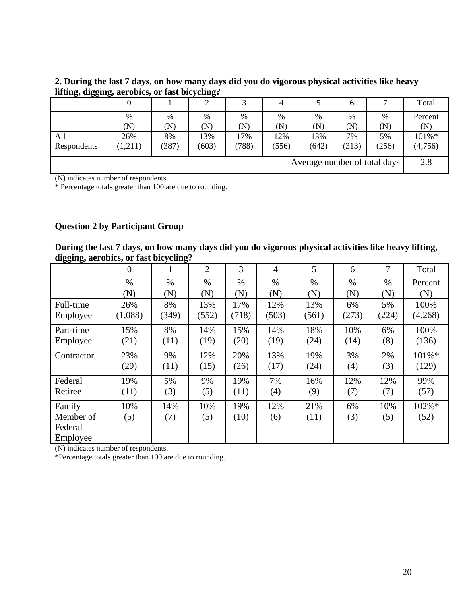**2. During the last 7 days, on how many days did you do vigorous physical activities like heavy lifting, digging, aerobics, or fast bicycling?** 

|             |         |       |                            | ⌒                          |           |                              | O         |       | Total     |
|-------------|---------|-------|----------------------------|----------------------------|-----------|------------------------------|-----------|-------|-----------|
|             | %       | $\%$  | %                          | %                          | %         | %                            | %         | %     | Percent   |
|             | (N)     | (N)   | $\left( \mathrm{N}\right)$ | $\left( \mathrm{N}\right)$ | $(\rm N)$ | $(\overline{\rm N})$         | $(\bf N)$ | (N)   | $(\rm N)$ |
| All         | 26%     | 8%    | 13%                        | 17%                        | 12%       | 13%                          | 7%        | 5%    | 101%*     |
| Respondents | (1,211) | (387) | (603)                      | (788)                      | (556)     | (642)                        | (313)     | (256) | (4,756)   |
|             |         |       |                            |                            |           | Average number of total days |           |       | 2.8       |

(N) indicates number of respondents.

\* Percentage totals greater than 100 are due to rounding.

### **Question 2 by Participant Group**

**During the last 7 days, on how many days did you do vigorous physical activities like heavy lifting, digging, aerobics, or fast bicycling?** 

|            | $\overline{0}$ | 1     | $\overline{2}$ | 3     | 4     | 5     | 6     | 7     | Total   |
|------------|----------------|-------|----------------|-------|-------|-------|-------|-------|---------|
|            | $\%$           | $\%$  | $\%$           | $\%$  | $\%$  | $\%$  | $\%$  | $\%$  | Percent |
|            | (N)            | (N)   | (N)            | (N)   | (N)   | (N)   | (N)   | (N)   | (N)     |
| Full-time  | 26%            | 8%    | 13%            | 17%   | 12%   | 13%   | 6%    | 5%    | 100%    |
| Employee   | (1,088)        | (349) | (552)          | (718) | (503) | (561) | (273) | (224) | (4,268) |
| Part-time  | 15%            | 8%    | 14%            | 15%   | 14%   | 18%   | 10%   | 6%    | 100%    |
| Employee   | (21)           | (11)  | (19)           | (20)  | (19)  | (24)  | (14)  | (8)   | (136)   |
|            |                |       |                |       |       |       |       |       |         |
| Contractor | 23%            | 9%    | 12%            | 20%   | 13%   | 19%   | 3%    | 2%    | 101%*   |
|            | (29)           | (11)  | (15)           | (26)  | (17)  | (24)  | (4)   | (3)   | (129)   |
| Federal    | 19%            | 5%    | 9%             | 19%   | 7%    | 16%   | 12%   | 12%   | 99%     |
| Retiree    | (11)           | (3)   | (5)            | (11)  | (4)   | (9)   | (7)   | (7)   | (57)    |
| Family     | 10%            | 14%   | 10%            | 19%   | 12%   | 21%   | 6%    | 10%   | 102%*   |
| Member of  | (5)            | (7)   | (5)            | (10)  | (6)   | (11)  | (3)   | (5)   | (52)    |
| Federal    |                |       |                |       |       |       |       |       |         |
| Employee   |                |       |                |       |       |       |       |       |         |

(N) indicates number of respondents.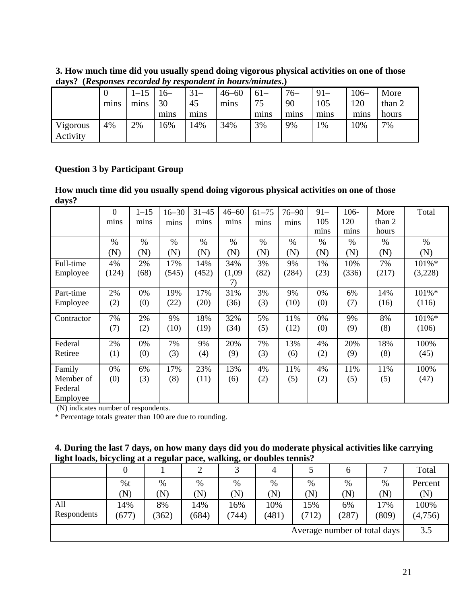**3. How much time did you usually spend doing vigorous physical activities on one of those days? (***Responses recorded by respondent in hours/minutes***.)** 

|                      | mins | mins | $16-$<br>30<br>mins | $31 -$<br>45<br>mins | $46 - 60$<br>mins | $61 -$<br>75<br>mins | $76-$<br>90<br>mins | $91 -$<br>105<br>mins | $106 -$<br>120<br>mins | More<br>than 2<br>hours |
|----------------------|------|------|---------------------|----------------------|-------------------|----------------------|---------------------|-----------------------|------------------------|-------------------------|
| Vigorous<br>Activity | 4%   | 2%   | 16%                 | 14%                  | 34%               | 3%                   | 9%                  | $\frac{9}{6}$         | 10%                    | 7%                      |

# **Question 3 by Participant Group**

**How much time did you usually spend doing vigorous physical activities on one of those days?** 

|            | $\boldsymbol{0}$<br>mins | $1 - 15$<br>mins | $16 - 30$<br>mins | $31 - 45$<br>mins | $46 - 60$<br>mins | $61 - 75$<br>mins | $76 - 90$<br>mins | $91 -$<br>105<br>mins | 106-<br>120<br>mins | More<br>than 2<br>hours | Total    |
|------------|--------------------------|------------------|-------------------|-------------------|-------------------|-------------------|-------------------|-----------------------|---------------------|-------------------------|----------|
|            | $\%$                     | $\%$             | $\%$              | $\%$              | $\%$              | $\%$              | $\%$              | $\%$                  | $\%$                | %                       | $\%$     |
|            | (N)                      | (N)              | (N)               | (N)               | (N)               | (N)               | (N)               | (N)                   | (N)                 | (N)                     | (N)      |
| Full-time  | 4%                       | 2%               | 17%               | 14%               | 34%               | 3%                | 9%                | 1%                    | 10%                 | 7%                      | 101%*    |
| Employee   | (124)                    | (68)             | (545)             | (452)             | (1,09)            | (82)              | (284)             | (23)                  | (336)               | (217)                   | (3,228)  |
|            |                          |                  |                   |                   | 7)                |                   |                   |                       |                     |                         |          |
| Part-time  | 2%                       | 0%               | 19%               | 17%               | 31%               | 3%                | 9%                | 0%                    | 6%                  | 14%                     | $101\%*$ |
| Employee   | (2)                      | (0)              | (22)              | (20)              | (36)              | (3)               | (10)              | (0)                   | (7)                 | (16)                    | (116)    |
| Contractor | 7%                       | 2%               | 9%                | 18%               | 32%               | 5%                | 11%               | 0%                    | 9%                  | 8%                      | 101%*    |
|            | (7)                      | (2)              | (10)              | (19)              | (34)              | (5)               | (12)              | (0)                   | (9)                 | (8)                     | (106)    |
| Federal    | 2%                       | 0%               | 7%                | 9%                | 20%               | 7%                | 13%               | 4%                    | 20%                 | 18%                     | 100%     |
| Retiree    | (1)                      | (0)              | (3)               | (4)               | (9)               | (3)               | (6)               | (2)                   | (9)                 | (8)                     | (45)     |
| Family     | 0%                       | 6%               | 17%               | 23%               | 13%               | 4%                | 11%               | 4%                    | 11%                 | 11%                     | 100%     |
| Member of  | (0)                      | (3)              | (8)               | (11)              | (6)               | (2)               | (5)               | (2)                   | (5)                 | (5)                     | (47)     |
| Federal    |                          |                  |                   |                   |                   |                   |                   |                       |                     |                         |          |
| Employee   |                          |                  |                   |                   |                   |                   |                   |                       |                     |                         |          |

(N) indicates number of respondents.

| 4. During the last 7 days, on how many days did you do moderate physical activities like carrying |
|---------------------------------------------------------------------------------------------------|
| light loads, bicycling at a regular pace, walking, or doubles tennis?                             |

| ັ           | ຼ     |             |                | $\tilde{}$  |          |                              |           |       |         |
|-------------|-------|-------------|----------------|-------------|----------|------------------------------|-----------|-------|---------|
|             | 0     |             | $\bigcap$<br>∠ |             | 4        |                              | 6         |       | Total   |
|             | %t    | %           | %              | %           | $\%$     | $\%$                         | $\%$      | %     | Percent |
|             | (N)   | $({\rm N})$ | (N)            | $({\rm N})$ | $\bf N)$ | $(\overline{\rm N})$         | $(\rm N)$ | (N)   | (N)     |
| All         | 14%   | 8%          | 14%            | 16%         | 10%      | 15%                          | 6%        | 17%   | 100%    |
| Respondents | (677) | (362)       | (684)          | (744)       | (481)    | 712)                         | (287)     | (809) | (4,756) |
|             |       |             |                |             |          | Average number of total days |           |       | 3.5     |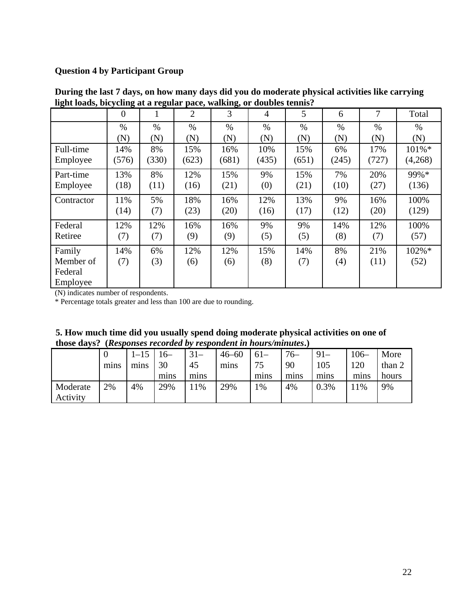# **Question 4 by Participant Group**

| ngn rouw, ort, enng ut a regular |          |       |       | $F^{m \vee m}$ , wanning, |                |       |       |       |           |
|----------------------------------|----------|-------|-------|---------------------------|----------------|-------|-------|-------|-----------|
|                                  | $\theta$ | 1     | 2     | 3                         | $\overline{4}$ | 5     | 6     | 7     | Total     |
|                                  | $\%$     | $\%$  | $\%$  | $\%$                      | $\%$           | $\%$  | $\%$  | $\%$  | $\%$      |
|                                  | (N)      | (N)   | (N)   | (N)                       | (N)            | (N)   | (N)   | (N)   | (N)       |
| Full-time                        | 14%      | 8%    | 15%   | 16%                       | 10%            | 15%   | 6%    | 17%   | $101\% *$ |
| Employee                         | (576)    | (330) | (623) | (681)                     | (435)          | (651) | (245) | (727) | (4,268)   |
| Part-time                        | 13%      | 8%    | 12%   | 15%                       | 9%             | 15%   | 7%    | 20%   | 99%*      |
| Employee                         | (18)     | (11)  | (16)  | (21)                      | (0)            | (21)  | (10)  | (27)  | (136)     |
| Contractor                       | 11%      | 5%    | 18%   | 16%                       | 12%            | 13%   | 9%    | 16%   | 100%      |
|                                  | (14)     | (7)   | (23)  | (20)                      | (16)           | (17)  | (12)  | (20)  | (129)     |
| Federal                          | 12%      | 12%   | 16%   | 16%                       | 9%             | 9%    | 14%   | 12%   | 100%      |
| Retiree                          | (7)      | (7)   | (9)   | (9)                       | (5)            | (5)   | (8)   | (7)   | (57)      |
| Family                           | 14%      | 6%    | 12%   | 12%                       | 15%            | 14%   | 8%    | 21%   | 102%*     |
| Member of                        | (7)      | (3)   | (6)   | (6)                       | (8)            | (7)   | (4)   | (11)  | (52)      |
| Federal                          |          |       |       |                           |                |       |       |       |           |
| Employee                         |          |       |       |                           |                |       |       |       |           |

**During the last 7 days, on how many days did you do moderate physical activities like carrying light loads, bicycling at a regular pace, walking, or doubles tennis?**

(N) indicates number of respondents.

| 5. How much time did you usually spend doing moderate physical activities on one of |
|-------------------------------------------------------------------------------------|
| those days? (Responses recorded by respondent in hours/minutes.)                    |

|          |      |      | $6-$ | $31 -$ | $46 - 60$ | $61-$ | $76-$ | $91 -$ | 106– | More   |
|----------|------|------|------|--------|-----------|-------|-------|--------|------|--------|
|          | mins | mins | 30   | 45     | mins      | 75    | 90    | 105    | 120  | than 2 |
|          |      |      | mins | mins   |           | mins  | mins  | mins   | mıns | hours  |
| Moderate | 2%   | 4%   | 29%  | 1%     | 29%       | $\%$  | 4%    | 0.3%   | 1%   | 9%     |
| Activity |      |      |      |        |           |       |       |        |      |        |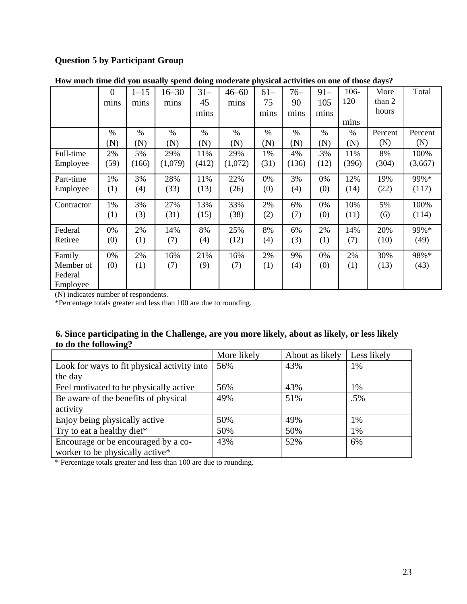# **Question 5 by Participant Group**

|            | $\theta$ | $1 - 15$ | $16 - 30$ | -<br>$31 -$ | $46 - 60$ | $61 -$ | $76-$ | $91 -$ | 106-  | More    | Total   |
|------------|----------|----------|-----------|-------------|-----------|--------|-------|--------|-------|---------|---------|
|            | mins     | mins     | mins      | 45          | mins      | 75     | 90    | 105    | 120   | than 2  |         |
|            |          |          |           | mins        |           | mins   | mins  | mins   |       | hours   |         |
|            |          |          |           |             |           |        |       |        | mins  |         |         |
|            | $\%$     | $\%$     | $\%$      | $\%$        | $\%$      | $\%$   | $\%$  | $\%$   | $\%$  | Percent | Percent |
|            | (N)      | (N)      | (N)       | (N)         | (N)       | (N)    | (N)   | (N)    | (N)   | (N)     | (N)     |
| Full-time  | 2%       | 5%       | 29%       | 11%         | 29%       | 1%     | 4%    | .3%    | 11%   | 8%      | 100%    |
| Employee   | (59)     | (166)    | (1,079)   | (412)       | (1,072)   | (31)   | (136) | (12)   | (396) | (304)   | (3,667) |
| Part-time  | 1%       | 3%       | 28%       | 11%         | 22%       | 0%     | 3%    | 0%     | 12%   | 19%     | 99%*    |
| Employee   | (1)      | (4)      | (33)      | (13)        | (26)      | (0)    | (4)   | (0)    | (14)  | (22)    | (117)   |
| Contractor | 1%       | 3%       | 27%       | 13%         | 33%       | 2%     | 6%    | 0%     | 10%   | 5%      | 100%    |
|            | (1)      | (3)      | (31)      | (15)        | (38)      | (2)    | (7)   | (0)    | (11)  | (6)     | (114)   |
| Federal    | 0%       | 2%       | 14%       | 8%          | 25%       | 8%     | 6%    | 2%     | 14%   | 20%     | 99%*    |
| Retiree    | (0)      | (1)      | (7)       | (4)         | (12)      | (4)    | (3)   | (1)    | (7)   | (10)    | (49)    |
| Family     | 0%       | 2%       | 16%       | 21%         | 16%       | 2%     | 9%    | 0%     | 2%    | 30%     | 98%*    |
| Member of  | (0)      | (1)      | (7)       | (9)         | (7)       | (1)    | (4)   | (0)    | (1)   | (13)    | (43)    |
| Federal    |          |          |           |             |           |        |       |        |       |         |         |
| Employee   |          |          |           |             |           |        |       |        |       |         |         |

**How much time did you usually spend doing moderate physical activities on one of those days?** 

(N) indicates number of respondents.

\*Percentage totals greater and less than 100 are due to rounding.

### **6. Since participating in the Challenge, are you more likely, about as likely, or less likely to do the following?**

|                                             | More likely | About as likely | Less likely |
|---------------------------------------------|-------------|-----------------|-------------|
| Look for ways to fit physical activity into | 56%         | 43%             | 1%          |
| the day                                     |             |                 |             |
| Feel motivated to be physically active      | 56%         | 43%             | 1%          |
| Be aware of the benefits of physical        | 49%         | 51%             | $.5\%$      |
| activity                                    |             |                 |             |
| Enjoy being physically active               | 50%         | 49%             | 1%          |
| Try to eat a healthy diet*                  | 50%         | 50%             | 1%          |
| Encourage or be encouraged by a co-         | 43%         | 52%             | 6%          |
| worker to be physically active*             |             |                 |             |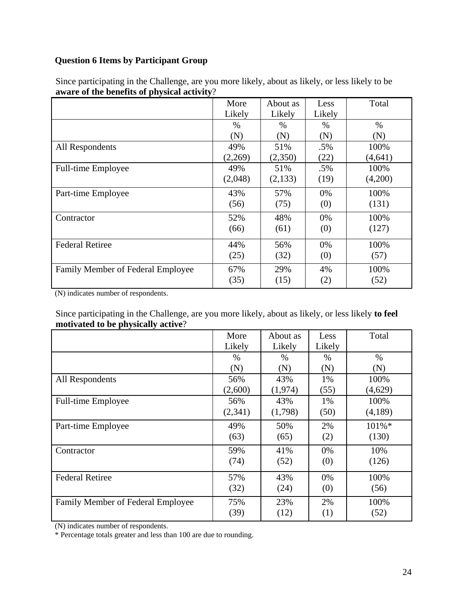# **Question 6 Items by Participant Group**

|                                   | More    | About as | Less   | Total    |
|-----------------------------------|---------|----------|--------|----------|
|                                   | Likely  | Likely   | Likely |          |
|                                   | $\%$    | $\%$     | $\%$   | $\%$     |
|                                   | (N)     | (N)      | (N)    | (N)      |
| All Respondents                   | 49%     | 51%      | .5%    | 100%     |
|                                   | (2,269) | (2,350)  | (22)   | (4, 641) |
| Full-time Employee                | 49%     | 51%      | $.5\%$ | 100%     |
|                                   | (2,048) | (2,133)  | (19)   | (4,200)  |
| Part-time Employee                | 43%     | 57%      | $0\%$  | 100%     |
|                                   | (56)    | (75)     | (0)    | (131)    |
| Contractor                        | 52%     | 48%      | 0%     | 100%     |
|                                   | (66)    | (61)     | (0)    | (127)    |
| <b>Federal Retiree</b>            | 44%     | 56%      | 0%     | 100%     |
|                                   | (25)    | (32)     | (0)    | (57)     |
| Family Member of Federal Employee | 67%     | 29%      | 4%     | 100%     |
|                                   | (35)    | (15)     | (2)    | (52)     |

Since participating in the Challenge, are you more likely, about as likely, or less likely to be **aware of the benefits of physical activity**?

(N) indicates number of respondents.

Since participating in the Challenge, are you more likely, about as likely, or less likely **to feel motivated to be physically active**?

|                                   | More    | About as | Less   | Total   |
|-----------------------------------|---------|----------|--------|---------|
|                                   | Likely  | Likely   | Likely |         |
|                                   | $\%$    | $\%$     | %      | $\%$    |
|                                   | (N)     | (N)      | (N)    | (N)     |
| All Respondents                   | 56%     | 43%      | 1%     | 100%    |
|                                   | (2,600) | (1,974)  | (55)   | (4,629) |
| <b>Full-time Employee</b>         | 56%     | 43%      | 1%     | 100%    |
|                                   | (2,341) | (1,798)  | (50)   | (4,189) |
| Part-time Employee                | 49%     | 50%      | 2%     | 101%*   |
|                                   | (63)    | (65)     | (2)    | (130)   |
| Contractor                        | 59%     | 41%      | 0%     | 10%     |
|                                   | (74)    | (52)     | (0)    | (126)   |
| <b>Federal Retiree</b>            | 57%     | 43%      | 0%     | 100%    |
|                                   | (32)    | (24)     | (0)    | (56)    |
| Family Member of Federal Employee | 75%     | 23%      | 2%     | 100%    |
|                                   | (39)    | (12)     | (1)    | (52)    |

(N) indicates number of respondents.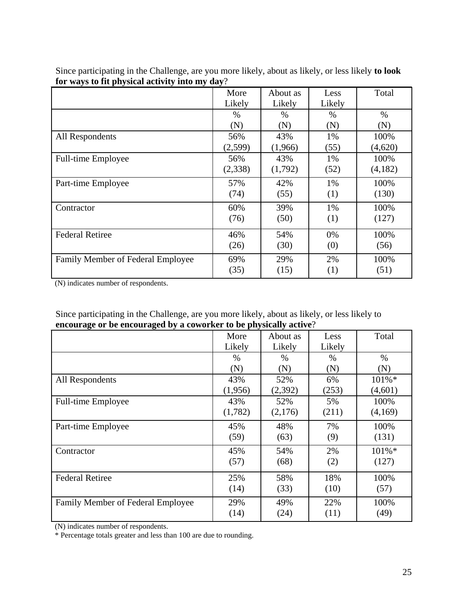|                                   | More    | About as | Less   | Total   |
|-----------------------------------|---------|----------|--------|---------|
|                                   | Likely  | Likely   | Likely |         |
|                                   | $\%$    | $\%$     | $\%$   | $\%$    |
|                                   | (N)     | (N)      | (N)    | (N)     |
| All Respondents                   | 56%     | 43%      | 1%     | 100%    |
|                                   | (2,599) | (1,966)  | (55)   | (4,620) |
| Full-time Employee                | 56%     | 43%      | 1%     | 100%    |
|                                   | (2,338) | (1,792)  | (52)   | (4,182) |
| Part-time Employee                | 57%     | 42%      | 1%     | 100%    |
|                                   | (74)    | (55)     | (1)    | (130)   |
| Contractor                        | 60%     | 39%      | 1%     | 100%    |
|                                   | (76)    | (50)     | (1)    | (127)   |
| <b>Federal Retiree</b>            | 46%     | 54%      | 0%     | 100%    |
|                                   | (26)    | (30)     | (0)    | (56)    |
| Family Member of Federal Employee | 69%     | 29%      | 2%     | 100%    |
|                                   | (35)    | (15)     | (1)    | (51)    |

Since participating in the Challenge, are you more likely, about as likely, or less likely **to look for ways to fit physical activity into my day**?

(N) indicates number of respondents.

| Since participating in the Challenge, are you more likely, about as likely, or less likely to |  |
|-----------------------------------------------------------------------------------------------|--|
| encourage or be encouraged by a coworker to be physically active?                             |  |

|                                   | More    | About as | Less   | Total     |
|-----------------------------------|---------|----------|--------|-----------|
|                                   | Likely  | Likely   | Likely |           |
|                                   | $\%$    | $\%$     | $\%$   | $\%$      |
|                                   | (N)     | (N)      | (N)    | (N)       |
| All Respondents                   | 43%     | 52%      | 6%     | 101%*     |
|                                   | (1,956) | (2,392)  | (253)  | (4,601)   |
| Full-time Employee                | 43%     | 52%      | 5%     | 100%      |
|                                   | (1,782) | (2,176)  | (211)  | (4,169)   |
| Part-time Employee                | 45%     | 48%      | 7%     | 100%      |
|                                   | (59)    | (63)     | (9)    | (131)     |
| Contractor                        | 45%     | 54%      | 2%     | $101\%$ * |
|                                   | (57)    | (68)     | (2)    | (127)     |
| <b>Federal Retiree</b>            | 25%     | 58%      | 18%    | 100%      |
|                                   | (14)    | (33)     | (10)   | (57)      |
| Family Member of Federal Employee | 29%     | 49%      | 22%    | 100%      |
|                                   | (14)    | (24)     | (11)   | (49)      |

(N) indicates number of respondents.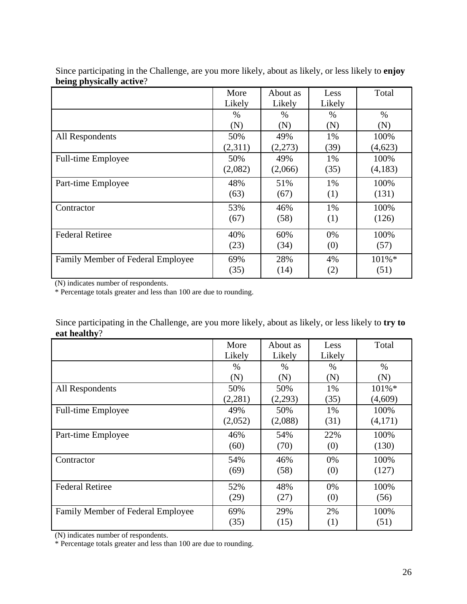|                                   | More    | About as | Less   | Total   |
|-----------------------------------|---------|----------|--------|---------|
|                                   | Likely  | Likely   | Likely |         |
|                                   | %       | $\%$     | $\%$   | $\%$    |
|                                   | (N)     | (N)      | (N)    | (N)     |
| All Respondents                   | 50%     | 49%      | 1%     | 100%    |
|                                   | (2,311) | (2,273)  | (39)   | (4,623) |
| Full-time Employee                | 50%     | 49%      | 1%     | 100%    |
|                                   | (2,082) | (2,066)  | (35)   | (4,183) |
| Part-time Employee                | 48%     | 51%      | 1%     | 100%    |
|                                   | (63)    | (67)     | (1)    | (131)   |
| Contractor                        | 53%     | 46%      | 1%     | 100%    |
|                                   | (67)    | (58)     | (1)    | (126)   |
| <b>Federal Retiree</b>            | 40%     | 60%      | 0%     | 100%    |
|                                   | (23)    | (34)     | (0)    | (57)    |
| Family Member of Federal Employee | 69%     | 28%      | 4%     | 101%*   |
|                                   | (35)    | (14)     | (2)    | (51)    |

Since participating in the Challenge, are you more likely, about as likely, or less likely to **enjoy being physically active**?

(N) indicates number of respondents.

\* Percentage totals greater and less than 100 are due to rounding.

Since participating in the Challenge, are you more likely, about as likely, or less likely to **try to eat healthy**?

|                                   | More    | About as | Less   | Total   |
|-----------------------------------|---------|----------|--------|---------|
|                                   | Likely  | Likely   | Likely |         |
|                                   | $\%$    | $\%$     | $\%$   | $\%$    |
|                                   | (N)     | (N)      | (N)    | (N)     |
| All Respondents                   | 50%     | 50%      | 1%     | 101%*   |
|                                   | (2,281) | (2,293)  | (35)   | (4,609) |
| <b>Full-time Employee</b>         | 49%     | 50%      | 1%     | 100%    |
|                                   | (2,052) | (2,088)  | (31)   | (4,171) |
| Part-time Employee                | 46%     | 54%      | 22%    | 100%    |
|                                   | (60)    | (70)     | (0)    | (130)   |
| Contractor                        | 54%     | 46%      | 0%     | 100%    |
|                                   | (69)    | (58)     | (0)    | (127)   |
| <b>Federal Retiree</b>            | 52%     | 48%      | 0%     | 100%    |
|                                   | (29)    | (27)     | (0)    | (56)    |
| Family Member of Federal Employee | 69%     | 29%      | 2%     | 100%    |
|                                   | (35)    | (15)     | (1)    | (51)    |

(N) indicates number of respondents.